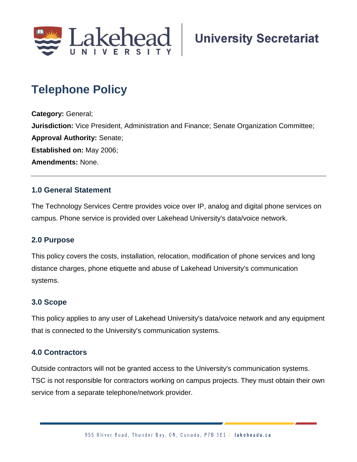

# **Telephone Policy**

**Category:** General; **Jurisdiction:** Vice President, Administration and Finance; Senate Organization Committee; **Approval Authority:** Senate; **Established on:** May 2006; **Amendments:** None.

# **1.0 General Statement**

The Technology Services Centre provides voice over IP, analog and digital phone services on campus. Phone service is provided over Lakehead University's data/voice network.

## **2.0 Purpose**

This policy covers the costs, installation, relocation, modification of phone services and long distance charges, phone etiquette and abuse of Lakehead University's communication systems.

## **3.0 Scope**

This policy applies to any user of Lakehead University's data/voice network and any equipment that is connected to the University's communication systems.

# **4.0 Contractors**

Outside contractors will not be granted access to the University's communication systems. TSC is not responsible for contractors working on campus projects. They must obtain their own service from a separate telephone/network provider.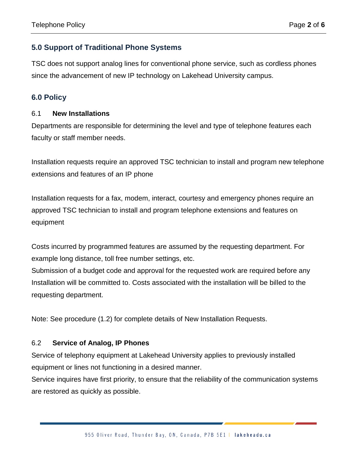# **5.0 Support of Traditional Phone Systems**

TSC does not support analog lines for conventional phone service, such as cordless phones since the advancement of new IP technology on Lakehead University campus.

# **6.0 Policy**

#### 6.1 **New Installations**

Departments are responsible for determining the level and type of telephone features each faculty or staff member needs.

Installation requests require an approved TSC technician to install and program new telephone extensions and features of an IP phone

Installation requests for a fax, modem, interact, courtesy and emergency phones require an approved TSC technician to install and program telephone extensions and features on equipment

Costs incurred by programmed features are assumed by the requesting department. For example long distance, toll free number settings, etc.

Submission of a budget code and approval for the requested work are required before any Installation will be committed to. Costs associated with the installation will be billed to the requesting department.

Note: See procedure (1.2) for complete details of New Installation Requests.

## 6.2 **Service of Analog, IP Phones**

Service of telephony equipment at Lakehead University applies to previously installed equipment or lines not functioning in a desired manner.

Service inquires have first priority, to ensure that the reliability of the communication systems are restored as quickly as possible.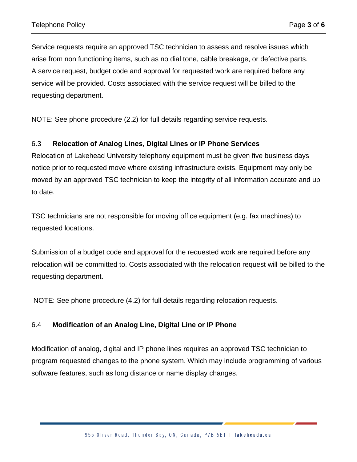Service requests require an approved TSC technician to assess and resolve issues which arise from non functioning items, such as no dial tone, cable breakage, or defective parts. A service request, budget code and approval for requested work are required before any service will be provided. Costs associated with the service request will be billed to the requesting department.

NOTE: See phone procedure (2.2) for full details regarding service requests.

#### 6.3 **Relocation of Analog Lines, Digital Lines or IP Phone Services**

Relocation of Lakehead University telephony equipment must be given five business days notice prior to requested move where existing infrastructure exists. Equipment may only be moved by an approved TSC technician to keep the integrity of all information accurate and up to date.

TSC technicians are not responsible for moving office equipment (e.g. fax machines) to requested locations.

Submission of a budget code and approval for the requested work are required before any relocation will be committed to. Costs associated with the relocation request will be billed to the requesting department.

NOTE: See phone procedure (4.2) for full details regarding relocation requests.

#### 6.4 **Modification of an Analog Line, Digital Line or IP Phone**

Modification of analog, digital and IP phone lines requires an approved TSC technician to program requested changes to the phone system. Which may include programming of various software features, such as long distance or name display changes.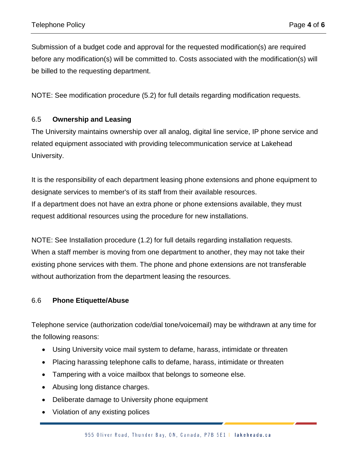Submission of a budget code and approval for the requested modification(s) are required before any modification(s) will be committed to. Costs associated with the modification(s) will be billed to the requesting department.

NOTE: See modification procedure (5.2) for full details regarding modification requests.

## 6.5 **Ownership and Leasing**

The University maintains ownership over all analog, digital line service, IP phone service and related equipment associated with providing telecommunication service at Lakehead University.

It is the responsibility of each department leasing phone extensions and phone equipment to designate services to member's of its staff from their available resources. If a department does not have an extra phone or phone extensions available, they must request additional resources using the procedure for new installations.

NOTE: See Installation procedure (1.2) for full details regarding installation requests. When a staff member is moving from one department to another, they may not take their existing phone services with them. The phone and phone extensions are not transferable without authorization from the department leasing the resources.

#### 6.6 **Phone Etiquette/Abuse**

Telephone service (authorization code/dial tone/voicemail) may be withdrawn at any time for the following reasons:

- Using University voice mail system to defame, harass, intimidate or threaten
- Placing harassing telephone calls to defame, harass, intimidate or threaten
- Tampering with a voice mailbox that belongs to someone else.
- Abusing long distance charges.
- Deliberate damage to University phone equipment
- Violation of any existing polices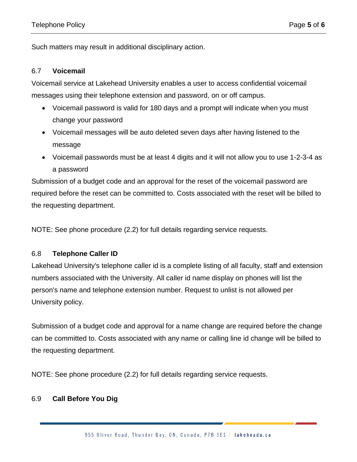Such matters may result in additional disciplinary action.

#### 6.7 **Voicemail**

Voicemail service at Lakehead University enables a user to access confidential voicemail messages using their telephone extension and password, on or off campus.

- Voicemail password is valid for 180 days and a prompt will indicate when you must change your password
- Voicemail messages will be auto deleted seven days after having listened to the message
- Voicemail passwords must be at least 4 digits and it will not allow you to use 1-2-3-4 as a password

Submission of a budget code and an approval for the reset of the voicemail password are required before the reset can be committed to. Costs associated with the reset will be billed to the requesting department.

NOTE: See phone procedure (2.2) for full details regarding service requests.

## 6.8 **Telephone Caller ID**

Lakehead University's telephone caller id is a complete listing of all faculty, staff and extension numbers associated with the University. All caller id name display on phones will list the person's name and telephone extension number. Request to unlist is not allowed per University policy.

Submission of a budget code and approval for a name change are required before the change can be committed to. Costs associated with any name or calling line id change will be billed to the requesting department.

NOTE: See phone procedure (2.2) for full details regarding service requests.

## 6.9 **Call Before You Dig**